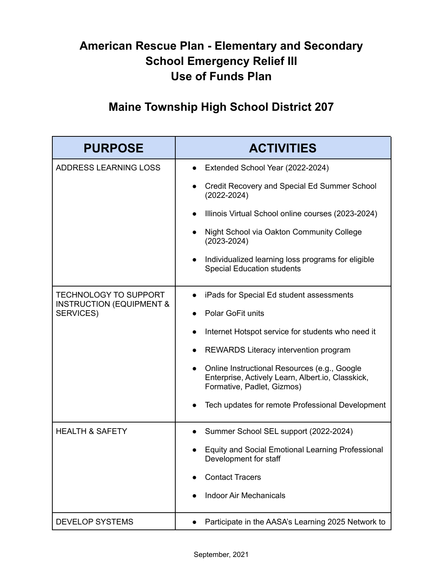## **American Rescue Plan - Elementary and Secondary School Emergency Relief III Use of Funds Plan**

## **Maine Township High School District 207**

| <b>PURPOSE</b>                                                                          | <b>ACTIVITIES</b>                                                                                                               |
|-----------------------------------------------------------------------------------------|---------------------------------------------------------------------------------------------------------------------------------|
| ADDRESS LEARNING LOSS                                                                   | Extended School Year (2022-2024)                                                                                                |
|                                                                                         | Credit Recovery and Special Ed Summer School<br>$(2022 - 2024)$                                                                 |
|                                                                                         | Illinois Virtual School online courses (2023-2024)                                                                              |
|                                                                                         | Night School via Oakton Community College<br>$(2023 - 2024)$                                                                    |
|                                                                                         | Individualized learning loss programs for eligible<br><b>Special Education students</b>                                         |
| <b>TECHNOLOGY TO SUPPORT</b><br><b>INSTRUCTION (EQUIPMENT &amp;</b><br><b>SERVICES)</b> | iPads for Special Ed student assessments                                                                                        |
|                                                                                         | Polar GoFit units                                                                                                               |
|                                                                                         | Internet Hotspot service for students who need it                                                                               |
|                                                                                         | REWARDS Literacy intervention program                                                                                           |
|                                                                                         | Online Instructional Resources (e.g., Google<br>Enterprise, Actively Learn, Albert.io, Classkick,<br>Formative, Padlet, Gizmos) |
|                                                                                         | Tech updates for remote Professional Development                                                                                |
| <b>HEALTH &amp; SAFETY</b>                                                              | Summer School SEL support (2022-2024)                                                                                           |
|                                                                                         | <b>Equity and Social Emotional Learning Professional</b><br>Development for staff                                               |
|                                                                                         | <b>Contact Tracers</b>                                                                                                          |
|                                                                                         | <b>Indoor Air Mechanicals</b>                                                                                                   |
| <b>DEVELOP SYSTEMS</b>                                                                  | Participate in the AASA's Learning 2025 Network to                                                                              |